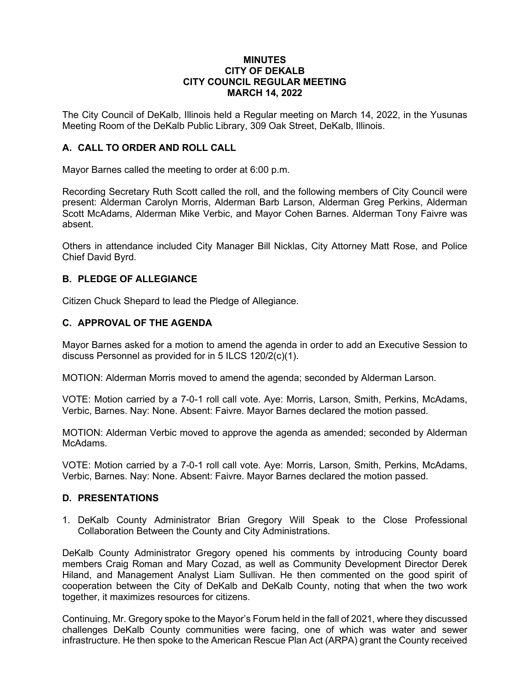#### **MINUTES CITY OF DEKALB CITY COUNCIL REGULAR MEETING MARCH 14, 2022**

The City Council of DeKalb, Illinois held a Regular meeting on March 14, 2022, in the Yusunas Meeting Room of the DeKalb Public Library, 309 Oak Street, DeKalb, Illinois.

### **A. CALL TO ORDER AND ROLL CALL**

Mayor Barnes called the meeting to order at 6:00 p.m.

Recording Secretary Ruth Scott called the roll, and the following members of City Council were present: Alderman Carolyn Morris, Alderman Barb Larson, Alderman Greg Perkins, Alderman Scott McAdams, Alderman Mike Verbic, and Mayor Cohen Barnes. Alderman Tony Faivre was absent.

Others in attendance included City Manager Bill Nicklas, City Attorney Matt Rose, and Police Chief David Byrd.

### **B. PLEDGE OF ALLEGIANCE**

Citizen Chuck Shepard to lead the Pledge of Allegiance.

### **C. APPROVAL OF THE AGENDA**

Mayor Barnes asked for a motion to amend the agenda in order to add an Executive Session to discuss Personnel as provided for in 5 ILCS 120/2(c)(1).

MOTION: Alderman Morris moved to amend the agenda; seconded by Alderman Larson.

VOTE: Motion carried by a 7-0-1 roll call vote. Aye: Morris, Larson, Smith, Perkins, McAdams, Verbic, Barnes. Nay: None. Absent: Faivre. Mayor Barnes declared the motion passed.

MOTION: Alderman Verbic moved to approve the agenda as amended; seconded by Alderman McAdams.

VOTE: Motion carried by a 7-0-1 roll call vote. Aye: Morris, Larson, Smith, Perkins, McAdams, Verbic, Barnes. Nay: None. Absent: Faivre. Mayor Barnes declared the motion passed.

### **D. PRESENTATIONS**

1. DeKalb County Administrator Brian Gregory Will Speak to the Close Professional Collaboration Between the County and City Administrations.

DeKalb County Administrator Gregory opened his comments by introducing County board members Craig Roman and Mary Cozad, as well as Community Development Director Derek Hiland, and Management Analyst Liam Sullivan. He then commented on the good spirit of cooperation between the City of DeKalb and DeKalb County, noting that when the two work together, it maximizes resources for citizens.

Continuing, Mr. Gregory spoke to the Mayor's Forum held in the fall of 2021, where they discussed challenges DeKalb County communities were facing, one of which was water and sewer infrastructure. He then spoke to the American Rescue Plan Act (ARPA) grant the County received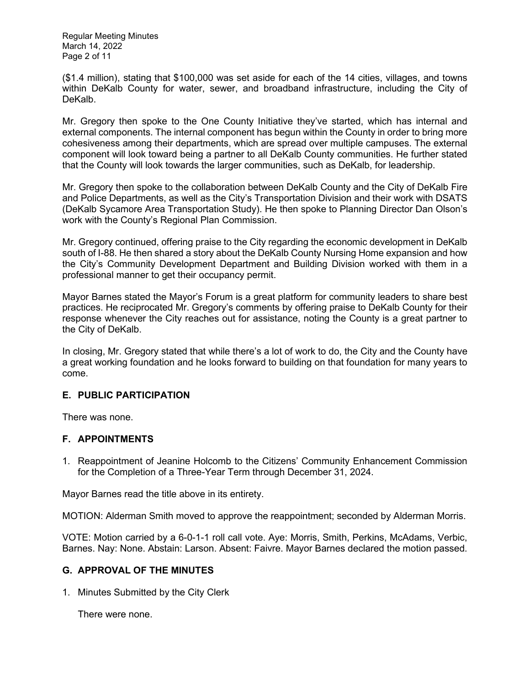Regular Meeting Minutes March 14, 2022 Page 2 of 11

(\$1.4 million), stating that \$100,000 was set aside for each of the 14 cities, villages, and towns within DeKalb County for water, sewer, and broadband infrastructure, including the City of DeKalb.

Mr. Gregory then spoke to the One County Initiative they've started, which has internal and external components. The internal component has begun within the County in order to bring more cohesiveness among their departments, which are spread over multiple campuses. The external component will look toward being a partner to all DeKalb County communities. He further stated that the County will look towards the larger communities, such as DeKalb, for leadership.

Mr. Gregory then spoke to the collaboration between DeKalb County and the City of DeKalb Fire and Police Departments, as well as the City's Transportation Division and their work with DSATS (DeKalb Sycamore Area Transportation Study). He then spoke to Planning Director Dan Olson's work with the County's Regional Plan Commission.

Mr. Gregory continued, offering praise to the City regarding the economic development in DeKalb south of I-88. He then shared a story about the DeKalb County Nursing Home expansion and how the City's Community Development Department and Building Division worked with them in a professional manner to get their occupancy permit.

Mayor Barnes stated the Mayor's Forum is a great platform for community leaders to share best practices. He reciprocated Mr. Gregory's comments by offering praise to DeKalb County for their response whenever the City reaches out for assistance, noting the County is a great partner to the City of DeKalb.

In closing, Mr. Gregory stated that while there's a lot of work to do, the City and the County have a great working foundation and he looks forward to building on that foundation for many years to come.

## **E. PUBLIC PARTICIPATION**

There was none.

## **F. APPOINTMENTS**

1. Reappointment of Jeanine Holcomb to the Citizens' Community Enhancement Commission for the Completion of a Three-Year Term through December 31, 2024.

Mayor Barnes read the title above in its entirety.

MOTION: Alderman Smith moved to approve the reappointment; seconded by Alderman Morris.

VOTE: Motion carried by a 6-0-1-1 roll call vote. Aye: Morris, Smith, Perkins, McAdams, Verbic, Barnes. Nay: None. Abstain: Larson. Absent: Faivre. Mayor Barnes declared the motion passed.

## **G. APPROVAL OF THE MINUTES**

1. Minutes Submitted by the City Clerk

There were none.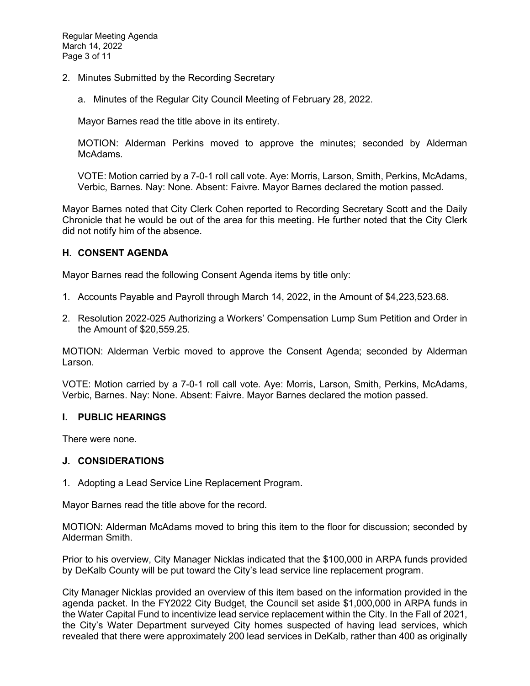- 2. Minutes Submitted by the Recording Secretary
	- a. Minutes of the Regular City Council Meeting of February 28, 2022.

Mayor Barnes read the title above in its entirety.

MOTION: Alderman Perkins moved to approve the minutes; seconded by Alderman McAdams.

VOTE: Motion carried by a 7-0-1 roll call vote. Aye: Morris, Larson, Smith, Perkins, McAdams, Verbic, Barnes. Nay: None. Absent: Faivre. Mayor Barnes declared the motion passed.

Mayor Barnes noted that City Clerk Cohen reported to Recording Secretary Scott and the Daily Chronicle that he would be out of the area for this meeting. He further noted that the City Clerk did not notify him of the absence.

## **H. CONSENT AGENDA**

Mayor Barnes read the following Consent Agenda items by title only:

- 1. Accounts Payable and Payroll through March 14, 2022, in the Amount of \$4,223,523.68.
- 2. Resolution 2022-025 Authorizing a Workers' Compensation Lump Sum Petition and Order in the Amount of \$20,559.25.

MOTION: Alderman Verbic moved to approve the Consent Agenda; seconded by Alderman Larson.

VOTE: Motion carried by a 7-0-1 roll call vote. Aye: Morris, Larson, Smith, Perkins, McAdams, Verbic, Barnes. Nay: None. Absent: Faivre. Mayor Barnes declared the motion passed.

### **I. PUBLIC HEARINGS**

There were none.

### **J. CONSIDERATIONS**

1. Adopting a Lead Service Line Replacement Program.

Mayor Barnes read the title above for the record.

MOTION: Alderman McAdams moved to bring this item to the floor for discussion; seconded by Alderman Smith.

Prior to his overview, City Manager Nicklas indicated that the \$100,000 in ARPA funds provided by DeKalb County will be put toward the City's lead service line replacement program.

City Manager Nicklas provided an overview of this item based on the information provided in the agenda packet. In the FY2022 City Budget, the Council set aside \$1,000,000 in ARPA funds in the Water Capital Fund to incentivize lead service replacement within the City. In the Fall of 2021, the City's Water Department surveyed City homes suspected of having lead services, which revealed that there were approximately 200 lead services in DeKalb, rather than 400 as originally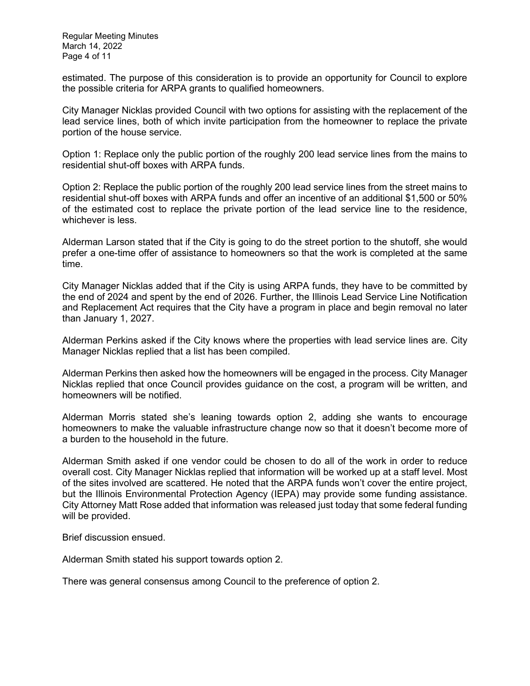estimated. The purpose of this consideration is to provide an opportunity for Council to explore the possible criteria for ARPA grants to qualified homeowners.

City Manager Nicklas provided Council with two options for assisting with the replacement of the lead service lines, both of which invite participation from the homeowner to replace the private portion of the house service.

Option 1: Replace only the public portion of the roughly 200 lead service lines from the mains to residential shut-off boxes with ARPA funds.

Option 2: Replace the public portion of the roughly 200 lead service lines from the street mains to residential shut-off boxes with ARPA funds and offer an incentive of an additional \$1,500 or 50% of the estimated cost to replace the private portion of the lead service line to the residence, whichever is less.

Alderman Larson stated that if the City is going to do the street portion to the shutoff, she would prefer a one-time offer of assistance to homeowners so that the work is completed at the same time.

City Manager Nicklas added that if the City is using ARPA funds, they have to be committed by the end of 2024 and spent by the end of 2026. Further, the Illinois Lead Service Line Notification and Replacement Act requires that the City have a program in place and begin removal no later than January 1, 2027.

Alderman Perkins asked if the City knows where the properties with lead service lines are. City Manager Nicklas replied that a list has been compiled.

Alderman Perkins then asked how the homeowners will be engaged in the process. City Manager Nicklas replied that once Council provides guidance on the cost, a program will be written, and homeowners will be notified.

Alderman Morris stated she's leaning towards option 2, adding she wants to encourage homeowners to make the valuable infrastructure change now so that it doesn't become more of a burden to the household in the future.

Alderman Smith asked if one vendor could be chosen to do all of the work in order to reduce overall cost. City Manager Nicklas replied that information will be worked up at a staff level. Most of the sites involved are scattered. He noted that the ARPA funds won't cover the entire project, but the Illinois Environmental Protection Agency (IEPA) may provide some funding assistance. City Attorney Matt Rose added that information was released just today that some federal funding will be provided.

Brief discussion ensued.

Alderman Smith stated his support towards option 2.

There was general consensus among Council to the preference of option 2.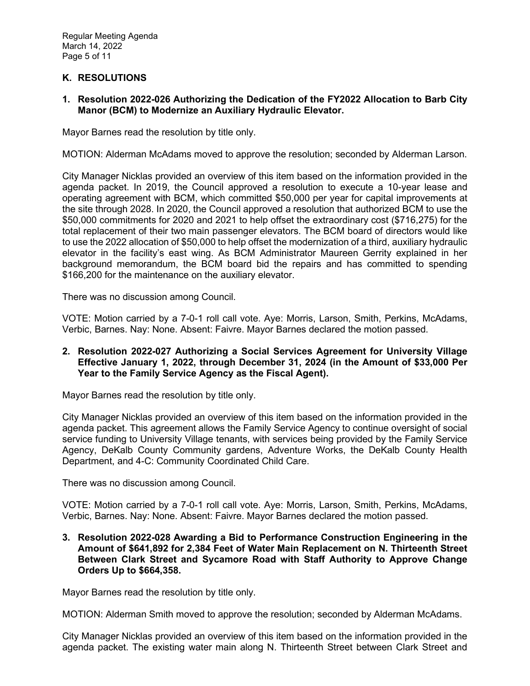# **K. RESOLUTIONS**

### **1. Resolution 2022-026 Authorizing the Dedication of the FY2022 Allocation to Barb City Manor (BCM) to Modernize an Auxiliary Hydraulic Elevator.**

Mayor Barnes read the resolution by title only.

MOTION: Alderman McAdams moved to approve the resolution; seconded by Alderman Larson.

City Manager Nicklas provided an overview of this item based on the information provided in the agenda packet. In 2019, the Council approved a resolution to execute a 10-year lease and operating agreement with BCM, which committed \$50,000 per year for capital improvements at the site through 2028. In 2020, the Council approved a resolution that authorized BCM to use the \$50,000 commitments for 2020 and 2021 to help offset the extraordinary cost (\$716,275) for the total replacement of their two main passenger elevators. The BCM board of directors would like to use the 2022 allocation of \$50,000 to help offset the modernization of a third, auxiliary hydraulic elevator in the facility's east wing. As BCM Administrator Maureen Gerrity explained in her background memorandum, the BCM board bid the repairs and has committed to spending \$166,200 for the maintenance on the auxiliary elevator.

There was no discussion among Council.

VOTE: Motion carried by a 7-0-1 roll call vote. Aye: Morris, Larson, Smith, Perkins, McAdams, Verbic, Barnes. Nay: None. Absent: Faivre. Mayor Barnes declared the motion passed.

### **2. Resolution 2022-027 Authorizing a Social Services Agreement for University Village Effective January 1, 2022, through December 31, 2024 (in the Amount of \$33,000 Per Year to the Family Service Agency as the Fiscal Agent).**

Mayor Barnes read the resolution by title only.

City Manager Nicklas provided an overview of this item based on the information provided in the agenda packet. This agreement allows the Family Service Agency to continue oversight of social service funding to University Village tenants, with services being provided by the Family Service Agency, DeKalb County Community gardens, Adventure Works, the DeKalb County Health Department, and 4-C: Community Coordinated Child Care.

There was no discussion among Council.

VOTE: Motion carried by a 7-0-1 roll call vote. Aye: Morris, Larson, Smith, Perkins, McAdams, Verbic, Barnes. Nay: None. Absent: Faivre. Mayor Barnes declared the motion passed.

**3. Resolution 2022-028 Awarding a Bid to Performance Construction Engineering in the Amount of \$641,892 for 2,384 Feet of Water Main Replacement on N. Thirteenth Street Between Clark Street and Sycamore Road with Staff Authority to Approve Change Orders Up to \$664,358.** 

Mayor Barnes read the resolution by title only.

MOTION: Alderman Smith moved to approve the resolution; seconded by Alderman McAdams.

City Manager Nicklas provided an overview of this item based on the information provided in the agenda packet. The existing water main along N. Thirteenth Street between Clark Street and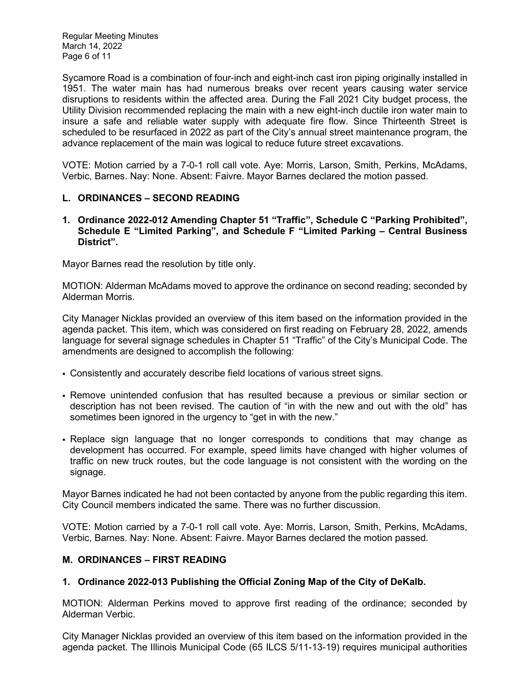Regular Meeting Minutes March 14, 2022 Page 6 of 11

Sycamore Road is a combination of four-inch and eight-inch cast iron piping originally installed in 1951. The water main has had numerous breaks over recent years causing water service disruptions to residents within the affected area. During the Fall 2021 City budget process, the Utility Division recommended replacing the main with a new eight-inch ductile iron water main to insure a safe and reliable water supply with adequate fire flow. Since Thirteenth Street is scheduled to be resurfaced in 2022 as part of the City's annual street maintenance program, the advance replacement of the main was logical to reduce future street excavations.

VOTE: Motion carried by a 7-0-1 roll call vote. Aye: Morris, Larson, Smith, Perkins, McAdams, Verbic, Barnes. Nay: None. Absent: Faivre. Mayor Barnes declared the motion passed.

## **L. ORDINANCES – SECOND READING**

**1. Ordinance 2022-012 Amending Chapter 51 "Traffic", Schedule C "Parking Prohibited", Schedule E "Limited Parking", and Schedule F "Limited Parking – Central Business District".** 

Mayor Barnes read the resolution by title only.

MOTION: Alderman McAdams moved to approve the ordinance on second reading; seconded by Alderman Morris.

City Manager Nicklas provided an overview of this item based on the information provided in the agenda packet. This item, which was considered on first reading on February 28, 2022, amends language for several signage schedules in Chapter 51 "Traffic" of the City's Municipal Code. The amendments are designed to accomplish the following:

- Consistently and accurately describe field locations of various street signs.
- Remove unintended confusion that has resulted because a previous or similar section or description has not been revised. The caution of "in with the new and out with the old" has sometimes been ignored in the urgency to "get in with the new."
- Replace sign language that no longer corresponds to conditions that may change as development has occurred. For example, speed limits have changed with higher volumes of traffic on new truck routes, but the code language is not consistent with the wording on the signage.

Mayor Barnes indicated he had not been contacted by anyone from the public regarding this item. City Council members indicated the same. There was no further discussion.

VOTE: Motion carried by a 7-0-1 roll call vote. Aye: Morris, Larson, Smith, Perkins, McAdams, Verbic, Barnes. Nay: None. Absent: Faivre. Mayor Barnes declared the motion passed.

## **M. ORDINANCES – FIRST READING**

## **1. Ordinance 2022-013 Publishing the Official Zoning Map of the City of DeKalb.**

MOTION: Alderman Perkins moved to approve first reading of the ordinance; seconded by Alderman Verbic.

City Manager Nicklas provided an overview of this item based on the information provided in the agenda packet. The Illinois Municipal Code (65 ILCS 5/11-13-19) requires municipal authorities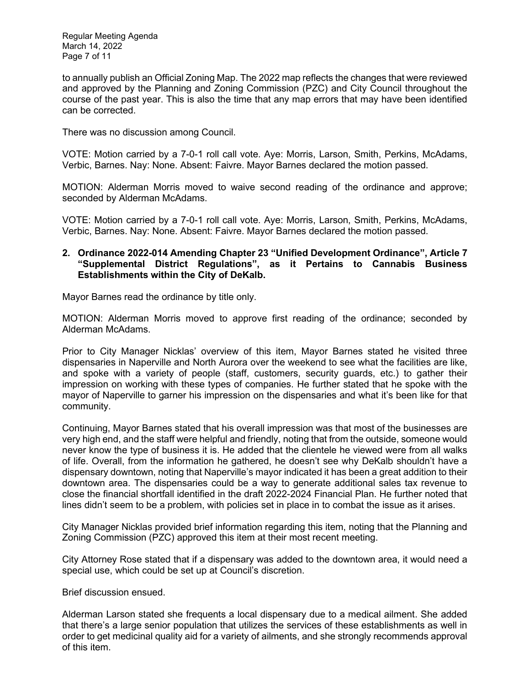to annually publish an Official Zoning Map. The 2022 map reflects the changes that were reviewed and approved by the Planning and Zoning Commission (PZC) and City Council throughout the course of the past year. This is also the time that any map errors that may have been identified can be corrected.

There was no discussion among Council.

VOTE: Motion carried by a 7-0-1 roll call vote. Aye: Morris, Larson, Smith, Perkins, McAdams, Verbic, Barnes. Nay: None. Absent: Faivre. Mayor Barnes declared the motion passed.

MOTION: Alderman Morris moved to waive second reading of the ordinance and approve; seconded by Alderman McAdams.

VOTE: Motion carried by a 7-0-1 roll call vote. Aye: Morris, Larson, Smith, Perkins, McAdams, Verbic, Barnes. Nay: None. Absent: Faivre. Mayor Barnes declared the motion passed.

### **2. Ordinance 2022-014 Amending Chapter 23 "Unified Development Ordinance", Article 7 "Supplemental District Regulations", as it Pertains to Cannabis Business Establishments within the City of DeKalb.**

Mayor Barnes read the ordinance by title only.

MOTION: Alderman Morris moved to approve first reading of the ordinance; seconded by Alderman McAdams.

Prior to City Manager Nicklas' overview of this item, Mayor Barnes stated he visited three dispensaries in Naperville and North Aurora over the weekend to see what the facilities are like, and spoke with a variety of people (staff, customers, security guards, etc.) to gather their impression on working with these types of companies. He further stated that he spoke with the mayor of Naperville to garner his impression on the dispensaries and what it's been like for that community.

Continuing, Mayor Barnes stated that his overall impression was that most of the businesses are very high end, and the staff were helpful and friendly, noting that from the outside, someone would never know the type of business it is. He added that the clientele he viewed were from all walks of life. Overall, from the information he gathered, he doesn't see why DeKalb shouldn't have a dispensary downtown, noting that Naperville's mayor indicated it has been a great addition to their downtown area. The dispensaries could be a way to generate additional sales tax revenue to close the financial shortfall identified in the draft 2022-2024 Financial Plan. He further noted that lines didn't seem to be a problem, with policies set in place in to combat the issue as it arises.

City Manager Nicklas provided brief information regarding this item, noting that the Planning and Zoning Commission (PZC) approved this item at their most recent meeting.

City Attorney Rose stated that if a dispensary was added to the downtown area, it would need a special use, which could be set up at Council's discretion.

Brief discussion ensued.

Alderman Larson stated she frequents a local dispensary due to a medical ailment. She added that there's a large senior population that utilizes the services of these establishments as well in order to get medicinal quality aid for a variety of ailments, and she strongly recommends approval of this item.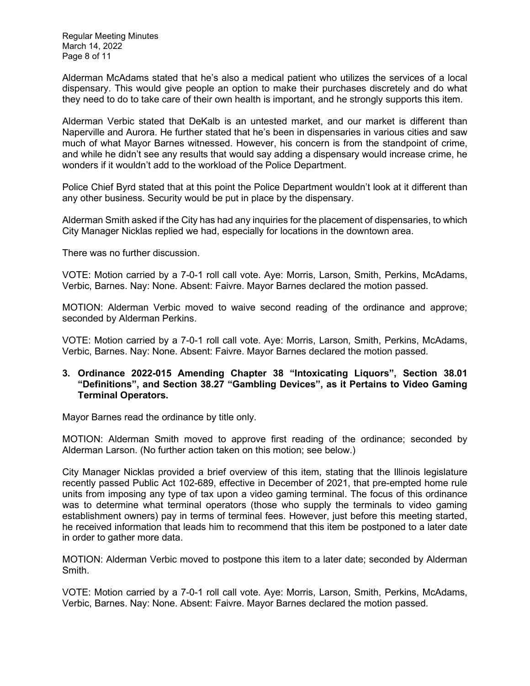Regular Meeting Minutes March 14, 2022 Page 8 of 11

Alderman McAdams stated that he's also a medical patient who utilizes the services of a local dispensary. This would give people an option to make their purchases discretely and do what they need to do to take care of their own health is important, and he strongly supports this item.

Alderman Verbic stated that DeKalb is an untested market, and our market is different than Naperville and Aurora. He further stated that he's been in dispensaries in various cities and saw much of what Mayor Barnes witnessed. However, his concern is from the standpoint of crime, and while he didn't see any results that would say adding a dispensary would increase crime, he wonders if it wouldn't add to the workload of the Police Department.

Police Chief Byrd stated that at this point the Police Department wouldn't look at it different than any other business. Security would be put in place by the dispensary.

Alderman Smith asked if the City has had any inquiries for the placement of dispensaries, to which City Manager Nicklas replied we had, especially for locations in the downtown area.

There was no further discussion.

VOTE: Motion carried by a 7-0-1 roll call vote. Aye: Morris, Larson, Smith, Perkins, McAdams, Verbic, Barnes. Nay: None. Absent: Faivre. Mayor Barnes declared the motion passed.

MOTION: Alderman Verbic moved to waive second reading of the ordinance and approve; seconded by Alderman Perkins.

VOTE: Motion carried by a 7-0-1 roll call vote. Aye: Morris, Larson, Smith, Perkins, McAdams, Verbic, Barnes. Nay: None. Absent: Faivre. Mayor Barnes declared the motion passed.

### **3. Ordinance 2022-015 Amending Chapter 38 "Intoxicating Liquors", Section 38.01 "Definitions", and Section 38.27 "Gambling Devices", as it Pertains to Video Gaming Terminal Operators.**

Mayor Barnes read the ordinance by title only.

MOTION: Alderman Smith moved to approve first reading of the ordinance; seconded by Alderman Larson. (No further action taken on this motion; see below.)

City Manager Nicklas provided a brief overview of this item, stating that the Illinois legislature recently passed Public Act 102-689, effective in December of 2021, that pre-empted home rule units from imposing any type of tax upon a video gaming terminal. The focus of this ordinance was to determine what terminal operators (those who supply the terminals to video gaming establishment owners) pay in terms of terminal fees. However, just before this meeting started, he received information that leads him to recommend that this item be postponed to a later date in order to gather more data.

MOTION: Alderman Verbic moved to postpone this item to a later date; seconded by Alderman Smith.

VOTE: Motion carried by a 7-0-1 roll call vote. Aye: Morris, Larson, Smith, Perkins, McAdams, Verbic, Barnes. Nay: None. Absent: Faivre. Mayor Barnes declared the motion passed.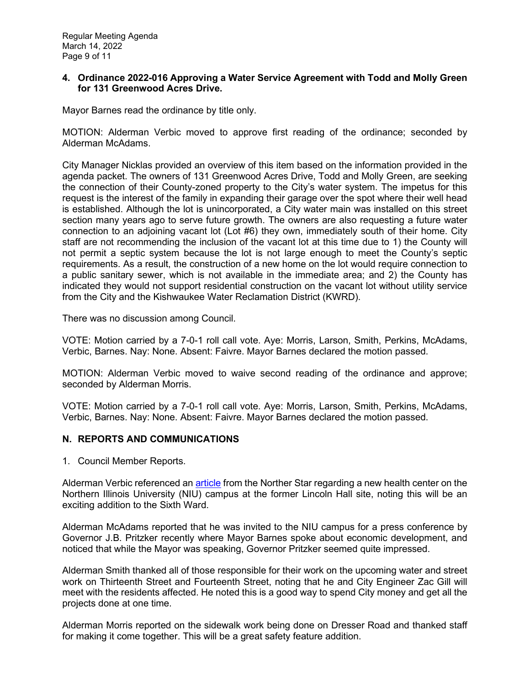### **4. Ordinance 2022-016 Approving a Water Service Agreement with Todd and Molly Green for 131 Greenwood Acres Drive.**

Mayor Barnes read the ordinance by title only.

MOTION: Alderman Verbic moved to approve first reading of the ordinance; seconded by Alderman McAdams.

City Manager Nicklas provided an overview of this item based on the information provided in the agenda packet. The owners of 131 Greenwood Acres Drive, Todd and Molly Green, are seeking the connection of their County-zoned property to the City's water system. The impetus for this request is the interest of the family in expanding their garage over the spot where their well head is established. Although the lot is unincorporated, a City water main was installed on this street section many years ago to serve future growth. The owners are also requesting a future water connection to an adjoining vacant lot (Lot #6) they own, immediately south of their home. City staff are not recommending the inclusion of the vacant lot at this time due to 1) the County will not permit a septic system because the lot is not large enough to meet the County's septic requirements. As a result, the construction of a new home on the lot would require connection to a public sanitary sewer, which is not available in the immediate area; and 2) the County has indicated they would not support residential construction on the vacant lot without utility service from the City and the Kishwaukee Water Reclamation District (KWRD).

There was no discussion among Council.

VOTE: Motion carried by a 7-0-1 roll call vote. Aye: Morris, Larson, Smith, Perkins, McAdams, Verbic, Barnes. Nay: None. Absent: Faivre. Mayor Barnes declared the motion passed.

MOTION: Alderman Verbic moved to waive second reading of the ordinance and approve; seconded by Alderman Morris.

VOTE: Motion carried by a 7-0-1 roll call vote. Aye: Morris, Larson, Smith, Perkins, McAdams, Verbic, Barnes. Nay: None. Absent: Faivre. Mayor Barnes declared the motion passed.

### **N. REPORTS AND COMMUNICATIONS**

1. Council Member Reports.

Alderman Verbic referenced an [article](https://northernstar.info/93627/news/campus/health-center-to-replace-lincoln-hall/) from the Norther Star regarding a new health center on the Northern Illinois University (NIU) campus at the former Lincoln Hall site, noting this will be an exciting addition to the Sixth Ward.

Alderman McAdams reported that he was invited to the NIU campus for a press conference by Governor J.B. Pritzker recently where Mayor Barnes spoke about economic development, and noticed that while the Mayor was speaking, Governor Pritzker seemed quite impressed.

Alderman Smith thanked all of those responsible for their work on the upcoming water and street work on Thirteenth Street and Fourteenth Street, noting that he and City Engineer Zac Gill will meet with the residents affected. He noted this is a good way to spend City money and get all the projects done at one time.

Alderman Morris reported on the sidewalk work being done on Dresser Road and thanked staff for making it come together. This will be a great safety feature addition.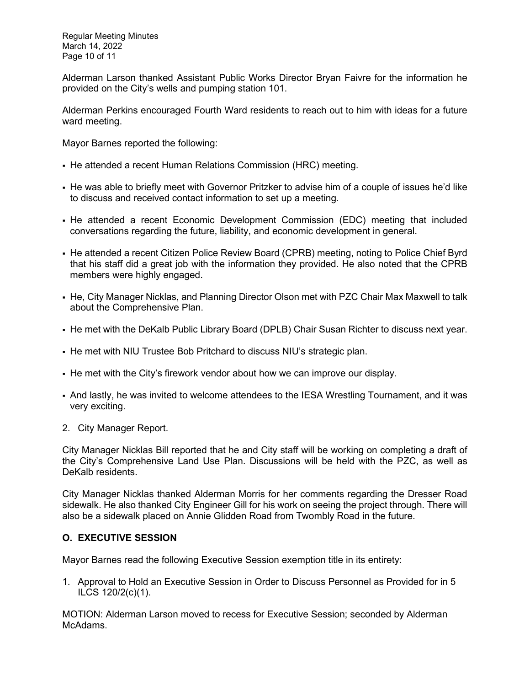Regular Meeting Minutes March 14, 2022 Page 10 of 11

Alderman Larson thanked Assistant Public Works Director Bryan Faivre for the information he provided on the City's wells and pumping station 101.

Alderman Perkins encouraged Fourth Ward residents to reach out to him with ideas for a future ward meeting.

Mayor Barnes reported the following:

- He attended a recent Human Relations Commission (HRC) meeting.
- He was able to briefly meet with Governor Pritzker to advise him of a couple of issues he'd like to discuss and received contact information to set up a meeting.
- He attended a recent Economic Development Commission (EDC) meeting that included conversations regarding the future, liability, and economic development in general.
- He attended a recent Citizen Police Review Board (CPRB) meeting, noting to Police Chief Byrd that his staff did a great job with the information they provided. He also noted that the CPRB members were highly engaged.
- He, City Manager Nicklas, and Planning Director Olson met with PZC Chair Max Maxwell to talk about the Comprehensive Plan.
- He met with the DeKalb Public Library Board (DPLB) Chair Susan Richter to discuss next year.
- He met with NIU Trustee Bob Pritchard to discuss NIU's strategic plan.
- He met with the City's firework vendor about how we can improve our display.
- And lastly, he was invited to welcome attendees to the IESA Wrestling Tournament, and it was very exciting.
- 2. City Manager Report.

City Manager Nicklas Bill reported that he and City staff will be working on completing a draft of the City's Comprehensive Land Use Plan. Discussions will be held with the PZC, as well as DeKalb residents.

City Manager Nicklas thanked Alderman Morris for her comments regarding the Dresser Road sidewalk. He also thanked City Engineer Gill for his work on seeing the project through. There will also be a sidewalk placed on Annie Glidden Road from Twombly Road in the future.

## **O. EXECUTIVE SESSION**

Mayor Barnes read the following Executive Session exemption title in its entirety:

1. Approval to Hold an Executive Session in Order to Discuss Personnel as Provided for in 5 ILCS 120/2(c)(1).

MOTION: Alderman Larson moved to recess for Executive Session; seconded by Alderman McAdams.